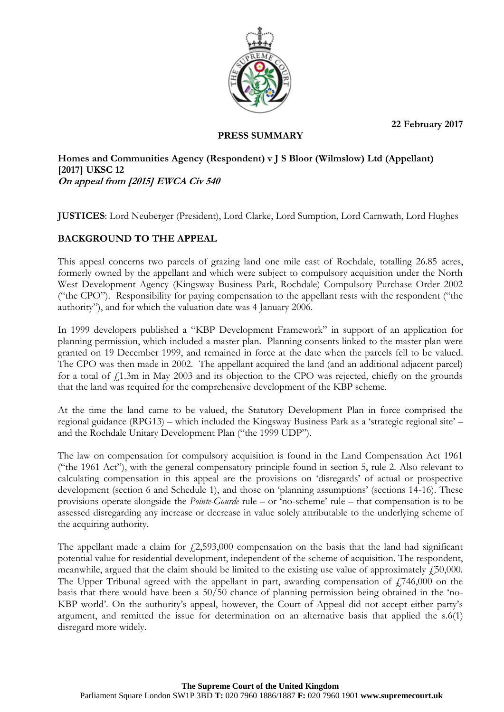**22 February 2017**



## **PRESS SUMMARY**

**Homes and Communities Agency (Respondent) v J S Bloor (Wilmslow) Ltd (Appellant) [2017] UKSC 12 On appeal from [2015] EWCA Civ 540**

**JUSTICES**: Lord Neuberger (President), Lord Clarke, Lord Sumption, Lord Carnwath, Lord Hughes

# **BACKGROUND TO THE APPEAL**

This appeal concerns two parcels of grazing land one mile east of Rochdale, totalling 26.85 acres, formerly owned by the appellant and which were subject to compulsory acquisition under the North West Development Agency (Kingsway Business Park, Rochdale) Compulsory Purchase Order 2002 ("the CPO"). Responsibility for paying compensation to the appellant rests with the respondent ("the authority"), and for which the valuation date was 4 January 2006.

In 1999 developers published a "KBP Development Framework" in support of an application for planning permission, which included a master plan. Planning consents linked to the master plan were granted on 19 December 1999, and remained in force at the date when the parcels fell to be valued. The CPO was then made in 2002. The appellant acquired the land (and an additional adjacent parcel) for a total of  $f_1$ 1.3m in May 2003 and its objection to the CPO was rejected, chiefly on the grounds that the land was required for the comprehensive development of the KBP scheme.

At the time the land came to be valued, the Statutory Development Plan in force comprised the regional guidance (RPG13) – which included the Kingsway Business Park as a 'strategic regional site' – and the Rochdale Unitary Development Plan ("the 1999 UDP").

The law on compensation for compulsory acquisition is found in the Land Compensation Act 1961 ("the 1961 Act"), with the general compensatory principle found in section 5, rule 2. Also relevant to calculating compensation in this appeal are the provisions on 'disregards' of actual or prospective development (section 6 and Schedule 1), and those on 'planning assumptions' (sections 14-16). These provisions operate alongside the *Pointe-Gourde* rule – or 'no-scheme' rule – that compensation is to be assessed disregarding any increase or decrease in value solely attributable to the underlying scheme of the acquiring authority.

The appellant made a claim for  $f(2,593,000)$  compensation on the basis that the land had significant potential value for residential development, independent of the scheme of acquisition. The respondent, meanwhile, argued that the claim should be limited to the existing use value of approximately  $f_{150,000}$ . The Upper Tribunal agreed with the appellant in part, awarding compensation of  $f$  746,000 on the basis that there would have been a 50/50 chance of planning permission being obtained in the 'no-KBP world'. On the authority's appeal, however, the Court of Appeal did not accept either party's argument, and remitted the issue for determination on an alternative basis that applied the s.6(1) disregard more widely.